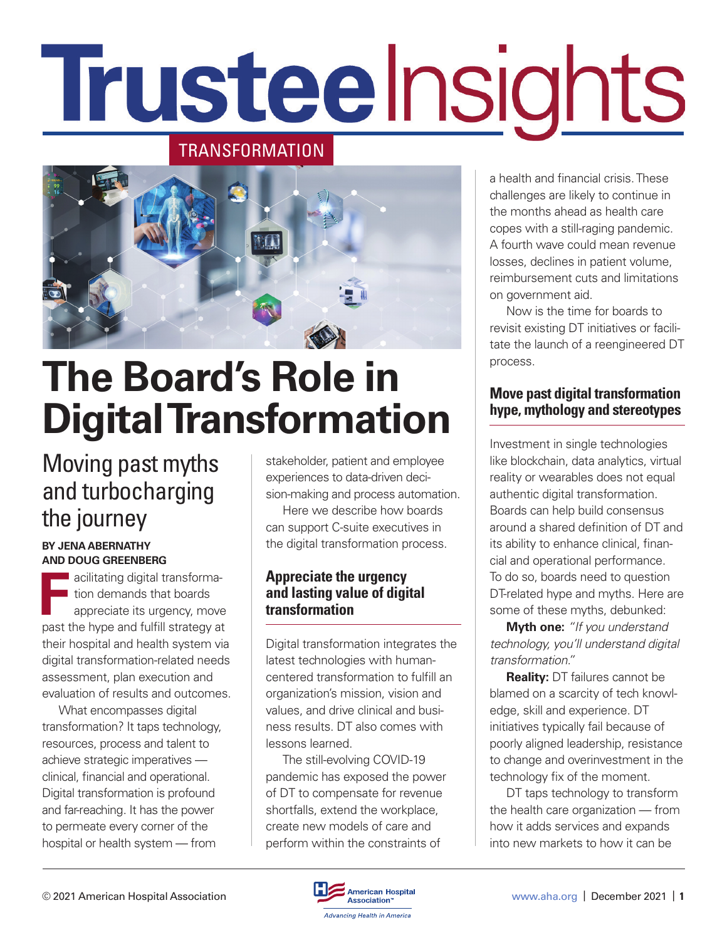# Trusteelnsights

#### TRANSFORMATION



## **The Board's Role in Digital Transformation**

### Moving past myths and turbocharging the journey

#### **BY JENA ABERNATHY AND DOUG GREENBERG**

**F** acilitating digital transformation demands that boards appreciate its urgency, move past the hype and fulfill strategy at their hospital and health system via digital transformation-related needs assessment, plan execution and evaluation of results and outcomes.

What encompasses digital transformation? It taps technology, resources, process and talent to achieve strategic imperatives clinical, financial and operational. Digital transformation is profound and far-reaching. It has the power to permeate every corner of the hospital or health system — from

stakeholder, patient and employee experiences to data-driven decision-making and process automation.

Here we describe how boards can support C-suite executives in the digital transformation process.

#### **Appreciate the urgency and lasting value of digital transformation**

Digital transformation integrates the latest technologies with humancentered transformation to fulfill an organization's mission, vision and values, and drive clinical and business results. DT also comes with lessons learned.

The still-evolving COVID-19 pandemic has exposed the power of DT to compensate for revenue shortfalls, extend the workplace, create new models of care and perform within the constraints of

a health and financial crisis. These challenges are likely to continue in the months ahead as health care copes with a still-raging pandemic. A fourth wave could mean revenue losses, declines in patient volume, reimbursement cuts and limitations on government aid.

Now is the time for boards to revisit existing DT initiatives or facilitate the launch of a reengineered DT process.

#### **Move past digital transformation hype, mythology and stereotypes**

Investment in single technologies like blockchain, data analytics, virtual reality or wearables does not equal authentic digital transformation. Boards can help build consensus around a shared definition of DT and its ability to enhance clinical, financial and operational performance. To do so, boards need to question DT-related hype and myths. Here are some of these myths, debunked:

**Myth one:** *"If you understand technology, you'll understand digital transformation."* 

**Reality:** DT failures cannot be blamed on a scarcity of tech knowledge, skill and experience. DT initiatives typically fail because of poorly aligned leadership, resistance to change and overinvestment in the technology fix of the moment.

DT taps technology to transform the health care organization — from how it adds services and expands into new markets to how it can be

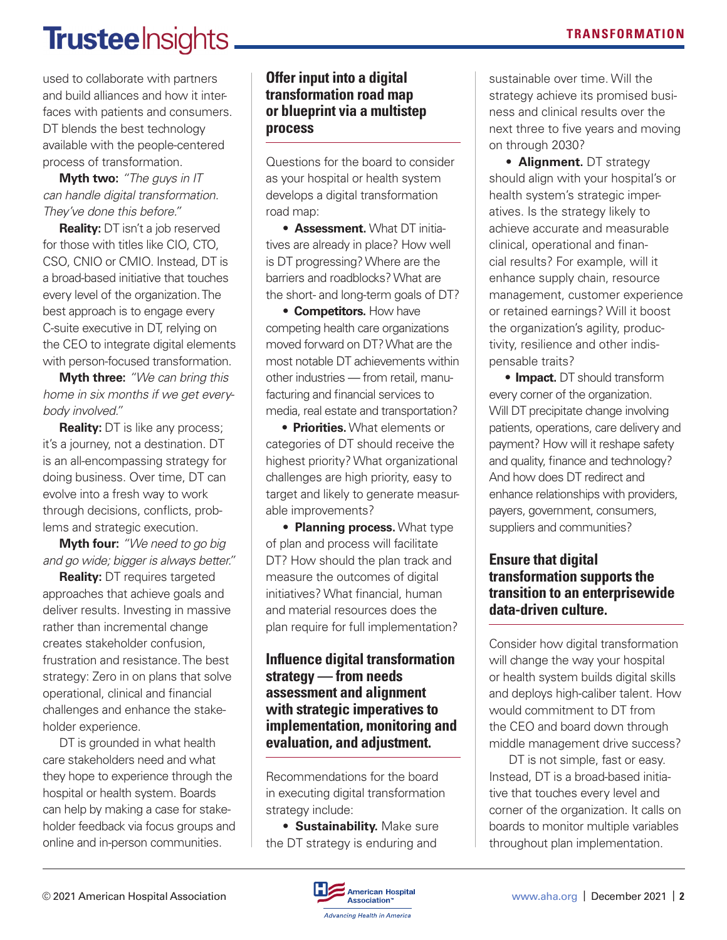## **Trustee** Insights.

used to collaborate with partners and build alliances and how it interfaces with patients and consumers. DT blends the best technology available with the people-centered process of transformation.

**Myth two:** *"The guys in IT can handle digital transformation. They've done this before."* 

**Reality:** DT isn't a job reserved for those with titles like CIO, CTO, CSO, CNIO or CMIO. Instead, DT is a broad-based initiative that touches every level of the organization. The best approach is to engage every C-suite executive in DT, relying on the CEO to integrate digital elements with person-focused transformation.

**Myth three:** *"We can bring this home in six months if we get everybody involved."* 

**Reality:** DT is like any process; it's a journey, not a destination. DT is an all-encompassing strategy for doing business. Over time, DT can evolve into a fresh way to work through decisions, conflicts, problems and strategic execution.

**Myth four:** *"We need to go big and go wide; bigger is always better."*

**Reality:** DT requires targeted approaches that achieve goals and deliver results. Investing in massive rather than incremental change creates stakeholder confusion, frustration and resistance. The best strategy: Zero in on plans that solve operational, clinical and financial challenges and enhance the stakeholder experience.

DT is grounded in what health care stakeholders need and what they hope to experience through the hospital or health system. Boards can help by making a case for stakeholder feedback via focus groups and online and in-person communities.

#### **Offer input into a digital transformation road map or blueprint via a multistep process**

Questions for the board to consider as your hospital or health system develops a digital transformation road map:

• **Assessment.** What DT initiatives are already in place? How well is DT progressing? Where are the barriers and roadblocks? What are the short- and long-term goals of DT?

• **Competitors.** How have competing health care organizations moved forward on DT? What are the most notable DT achievements within other industries — from retail, manufacturing and financial services to media, real estate and transportation?

**• Priorities.** What elements or categories of DT should receive the highest priority? What organizational challenges are high priority, easy to target and likely to generate measurable improvements?

• **Planning process.** What type of plan and process will facilitate DT? How should the plan track and measure the outcomes of digital initiatives? What financial, human and material resources does the plan require for full implementation?

#### **Influence digital transformation strategy — from needs assessment and alignment with strategic imperatives to implementation, monitoring and evaluation, and adjustment.**

Recommendations for the board in executing digital transformation strategy include:

• **Sustainability.** Make sure the DT strategy is enduring and

sustainable over time. Will the strategy achieve its promised business and clinical results over the next three to five years and moving on through 2030?

• **Alignment.** DT strategy should align with your hospital's or health system's strategic imperatives. Is the strategy likely to achieve accurate and measurable clinical, operational and financial results? For example, will it enhance supply chain, resource management, customer experience or retained earnings? Will it boost the organization's agility, productivity, resilience and other indispensable traits?

**• Impact.** DT should transform every corner of the organization. Will DT precipitate change involving patients, operations, care delivery and payment? How will it reshape safety and quality, finance and technology? And how does DT redirect and enhance relationships with providers, payers, government, consumers, suppliers and communities?

#### **Ensure that digital transformation supports the transition to an enterprisewide data-driven culture.**

Consider how digital transformation will change the way your hospital or health system builds digital skills and deploys high-caliber talent. How would commitment to DT from the CEO and board down through middle management drive success?

 DT is not simple, fast or easy. Instead, DT is a broad-based initiative that touches every level and corner of the organization. It calls on boards to monitor multiple variables throughout plan implementation.